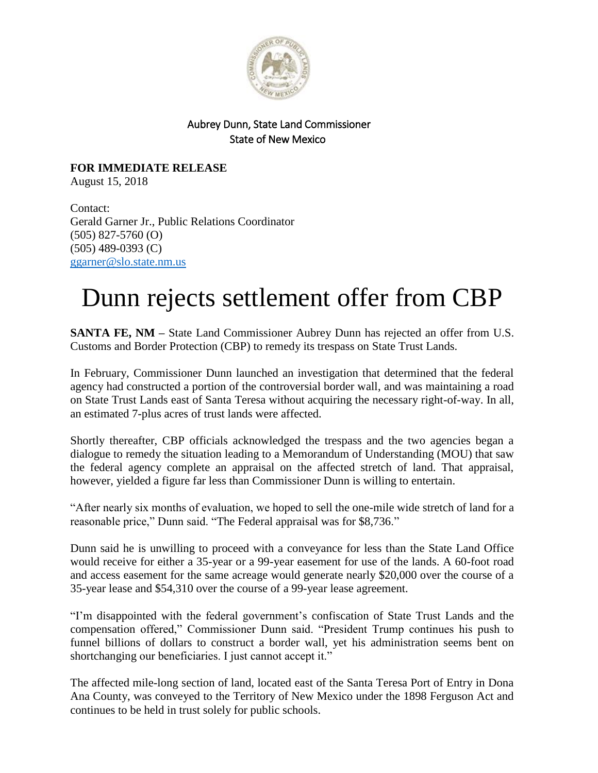

## Aubrey Dunn, State Land Commissioner State of New Mexico

**FOR IMMEDIATE RELEASE** August 15, 2018

Contact: Gerald Garner Jr., Public Relations Coordinator (505) 827-5760 (O) (505) 489-0393 (C) [ggarner@slo.state.nm.us](mailto:ggarner@slo.state.nm.us)

## Dunn rejects settlement offer from CBP

**SANTA FE, NM –** State Land Commissioner Aubrey Dunn has rejected an offer from U.S. Customs and Border Protection (CBP) to remedy its trespass on State Trust Lands.

In February, Commissioner Dunn launched an investigation that determined that the federal agency had constructed a portion of the controversial border wall, and was maintaining a road on State Trust Lands east of Santa Teresa without acquiring the necessary right-of-way. In all, an estimated 7-plus acres of trust lands were affected.

Shortly thereafter, CBP officials acknowledged the trespass and the two agencies began a dialogue to remedy the situation leading to a Memorandum of Understanding (MOU) that saw the federal agency complete an appraisal on the affected stretch of land. That appraisal, however, yielded a figure far less than Commissioner Dunn is willing to entertain.

"After nearly six months of evaluation, we hoped to sell the one-mile wide stretch of land for a reasonable price," Dunn said. "The Federal appraisal was for \$8,736."

Dunn said he is unwilling to proceed with a conveyance for less than the State Land Office would receive for either a 35-year or a 99-year easement for use of the lands. A 60-foot road and access easement for the same acreage would generate nearly \$20,000 over the course of a 35-year lease and \$54,310 over the course of a 99-year lease agreement.

"I'm disappointed with the federal government's confiscation of State Trust Lands and the compensation offered," Commissioner Dunn said. "President Trump continues his push to funnel billions of dollars to construct a border wall, yet his administration seems bent on shortchanging our beneficiaries. I just cannot accept it."

The affected mile-long section of land, located east of the Santa Teresa Port of Entry in Dona Ana County, was conveyed to the Territory of New Mexico under the 1898 Ferguson Act and continues to be held in trust solely for public schools.